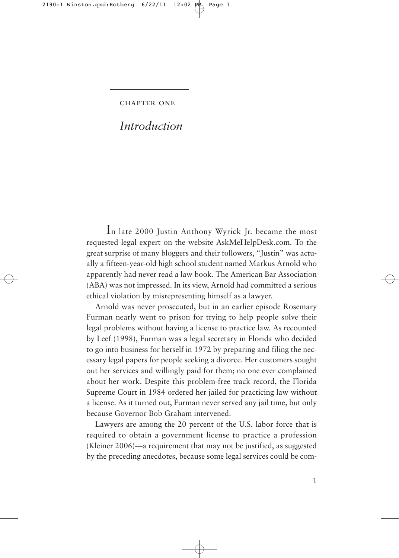chapter one

*Introduction*

In late 2000 Justin Anthony Wyrick Jr. became the most requested legal expert on the website AskMeHelpDesk.com. To the great surprise of many bloggers and their followers, "Justin" was actually a fifteen-year-old high school student named Markus Arnold who apparently had never read a law book. The American Bar Association (ABA) was not impressed. In its view, Arnold had committed a serious ethical violation by misrepresenting himself as a lawyer.

Arnold was never prosecuted, but in an earlier episode Rosemary Furman nearly went to prison for trying to help people solve their legal problems without having a license to practice law. As recounted by Leef (1998), Furman was a legal secretary in Florida who decided to go into business for herself in 1972 by preparing and filing the necessary legal papers for people seeking a divorce. Her customers sought out her services and willingly paid for them; no one ever complained about her work. Despite this problem-free track record, the Florida Supreme Court in 1984 ordered her jailed for practicing law without a license. As it turned out, Furman never served any jail time, but only because Governor Bob Graham intervened.

Lawyers are among the 20 percent of the U.S. labor force that is required to obtain a government license to practice a profession (Kleiner 2006)—a requirement that may not be justified, as suggested by the preceding anecdotes, because some legal services could be com-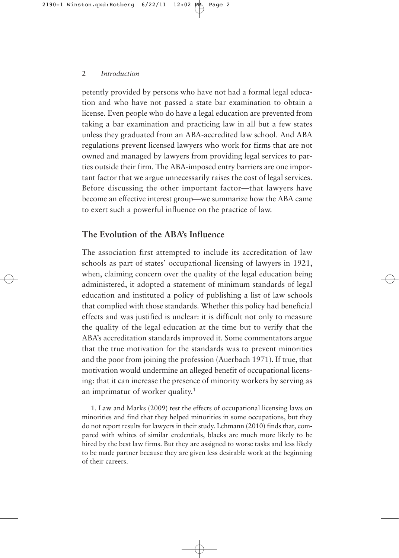petently provided by persons who have not had a formal legal education and who have not passed a state bar examination to obtain a license. Even people who do have a legal education are prevented from taking a bar examination and practicing law in all but a few states unless they graduated from an ABA-accredited law school. And ABA regulations prevent licensed lawyers who work for firms that are not owned and managed by lawyers from providing legal services to parties outside their firm. The ABA-imposed entry barriers are one important factor that we argue unnecessarily raises the cost of legal services. Before discussing the other important factor— that lawyers have become an effective interest group— we summarize how the ABA came to exert such a powerful influence on the practice of law.

## **The Evolution of the ABA's Influence**

The association first attempted to include its accreditation of law schools as part of states' occupational licensing of lawyers in 1921, when, claiming concern over the quality of the legal education being administered, it adopted a statement of minimum standards of legal education and instituted a policy of publishing a list of law schools that complied with those standards. Whether this policy had beneficial effects and was justified is unclear: it is difficult not only to measure the quality of the legal education at the time but to verify that the ABA's accreditation standards improved it. Some commentators argue that the true motivation for the standards was to prevent minorities and the poor from joining the profession (Auerbach 1971). If true, that motivation would undermine an alleged benefit of occupational licensing: that it can increase the presence of minority workers by serving as an imprimatur of worker quality.1

1. Law and Marks (2009) test the effects of occupational licensing laws on minorities and find that they helped minorities in some occupations, but they do not report results for lawyers in their study. Lehmann (2010) finds that, compared with whites of similar credentials, blacks are much more likely to be hired by the best law firms. But they are assigned to worse tasks and less likely to be made partner because they are given less desirable work at the beginning of their careers.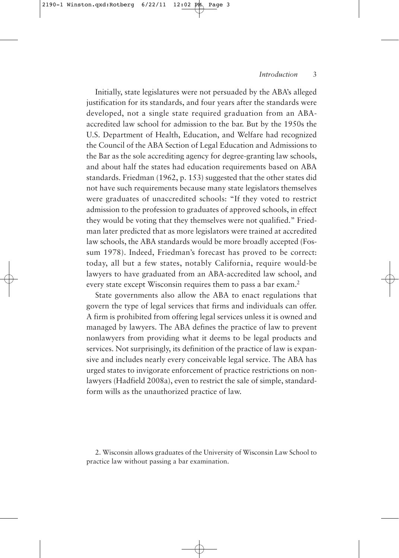Initially, state legislatures were not persuaded by the ABA's alleged justification for its standards, and four years after the standards were developed, not a single state required graduation from an ABAaccredited law school for admission to the bar. But by the 1950s the U.S. Department of Health, Education, and Welfare had recognized the Council of the ABA Section of Legal Education and Admissions to the Bar as the sole accrediting agency for degree-granting law schools, and about half the states had education requirements based on ABA standards. Friedman (1962, p. 153) suggested that the other states did not have such requirements because many state legislators themselves were graduates of unaccredited schools: "If they voted to restrict admission to the profession to graduates of approved schools, in effect they would be voting that they themselves were not qualified." Friedman later predicted that as more legislators were trained at accredited law schools, the ABA standards would be more broadly accepted (Fossum 1978). Indeed, Friedman's forecast has proved to be correct: today, all but a few states, notably California, require would-be lawyers to have graduated from an ABA-accredited law school, and every state except Wisconsin requires them to pass a bar exam.<sup>2</sup>

State governments also allow the ABA to enact regulations that govern the type of legal services that firms and individuals can offer. A firm is prohibited from offering legal services unless it is owned and managed by lawyers. The ABA defines the practice of law to prevent nonlawyers from providing what it deems to be legal products and services. Not surprisingly, its definition of the practice of law is expansive and includes nearly every conceivable legal service. The ABA has urged states to invigorate enforcement of practice restrictions on nonlawyers (Hadfield 2008a), even to restrict the sale of simple, standardform wills as the unauthorized practice of law.

2. Wisconsin allows graduates of the University of Wisconsin Law School to practice law without passing a bar examination.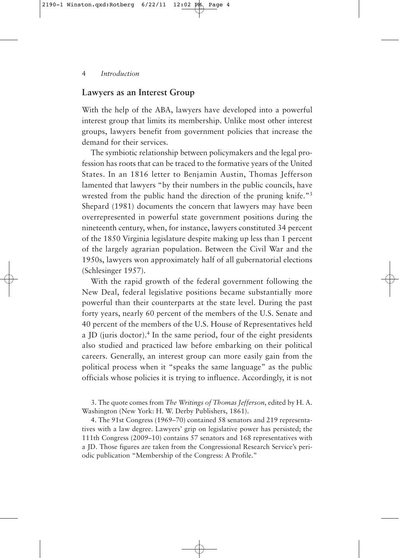## **Lawyers as an Interest Group**

With the help of the ABA, lawyers have developed into a powerful interest group that limits its membership. Unlike most other interest groups, lawyers benefit from government policies that increase the demand for their services.

The symbiotic relationship between policymakers and the legal profession has roots that can be traced to the formative years of the United States. In an 1816 letter to Benjamin Austin, Thomas Jefferson lamented that lawyers "by their numbers in the public councils, have wrested from the public hand the direction of the pruning knife."<sup>3</sup> Shepard (1981) documents the concern that lawyers may have been overrepresented in powerful state government positions during the nineteenth century, when, for instance, lawyers constituted 34 percent of the 1850 Virginia legislature despite making up less than 1 percent of the largely agrarian population. Between the Civil War and the 1950s, lawyers won approximately half of all gubernatorial elections (Schlesinger 1957).

With the rapid growth of the federal government following the New Deal, federal legislative positions became substantially more powerful than their counterparts at the state level. During the past forty years, nearly 60 percent of the members of the U.S. Senate and 40 percent of the members of the U.S. House of Representatives held a JD (juris doctor).<sup>4</sup> In the same period, four of the eight presidents also studied and practiced law before embarking on their political careers. Generally, an interest group can more easily gain from the political process when it "speaks the same language" as the public officials whose policies it is trying to influence. Accordingly, it is not

3. The quote comes from *The Writings of Thomas Jefferson*, edited by H. A. Washington (New York: H. W. Derby Publishers, 1861).

4. The 91st Congress (1969–70) contained 58 senators and 219 representatives with a law degree. Lawyers' grip on legislative power has persisted; the 111th Congress (2009–10) contains 57 senators and 168 representatives with a JD. Those figures are taken from the Congressional Research Service's periodic publication "Membership of the Congress: A Profile."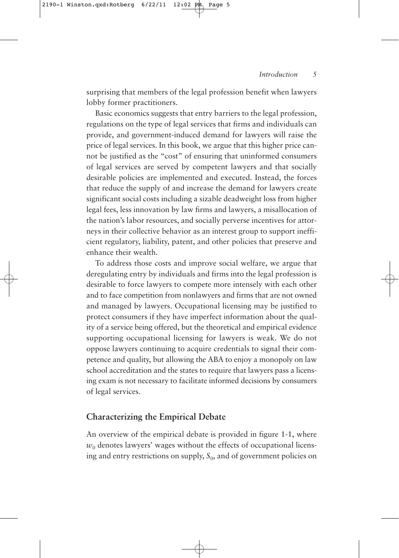surprising that members of the legal profession benefit when lawyers lobby former practitioners.

Basic economics suggests that entry barriers to the legal profession, regulations on the type of legal services that firms and individuals can provide, and government-induced demand for lawyers will raise the price of legal services. In this book, we argue that this higher price cannot be justified as the "cost" of ensuring that uninformed consumers of legal services are served by competent lawyers and that socially desirable policies are implemented and executed. Instead, the forces that reduce the supply of and increase the demand for lawyers create significant social costs including a sizable deadweight loss from higher legal fees, less innovation by law firms and lawyers, a misallocation of the nation's labor resources, and socially perverse incentives for attorneys in their collective behavior as an interest group to support inefficient regulatory, liability, patent, and other policies that preserve and enhance their wealth.

To address those costs and improve social welfare, we argue that deregulating entry by individuals and firms into the legal profession is desirable to force lawyers to compete more intensely with each other and to face competition from nonlawyers and firms that are not owned and managed by lawyers. Occupational licensing may be justified to protect consumers if they have imperfect information about the quality of a service being offered, but the theoretical and empirical evidence supporting occupational licensing for lawyers is weak. We do not oppose lawyers continuing to acquire credentials to signal their competence and quality, but allowing the ABA to enjoy a monopoly on law school accreditation and the states to require that lawyers pass a licensing exam is not necessary to facilitate informed decisions by consumers of legal services.

## **Characterizing the Empirical Debate**

An overview of the empirical debate is provided in figure 1-1, where  $w<sub>0</sub>$  denotes lawyers' wages without the effects of occupational licensing and entry restrictions on supply,  $S_0$ , and of government policies on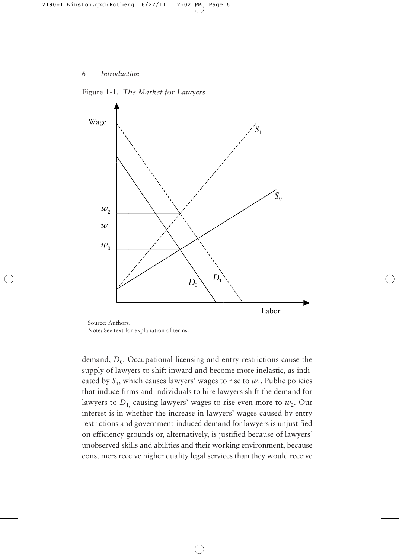Figure 1-1*. The Market for Lawyers* 



Source: Authors. Note: See text for explanation of terms.

demand,  $D_0$ . Occupational licensing and entry restrictions cause the supply of lawyers to shift inward and become more inelastic, as indicated by  $S_1$ , which causes lawyers' wages to rise to  $w_1$ . Public policies that induce firms and individuals to hire lawyers shift the demand for lawyers to  $D_1$  causing lawyers' wages to rise even more to  $w_2$ . Our interest is in whether the increase in lawyers' wages caused by entry restrictions and government-induced demand for lawyers is unjustified on efficiency grounds or, alternatively, is justified because of lawyers' unobserved skills and abilities and their working environment, because consumers receive higher quality legal services than they would receive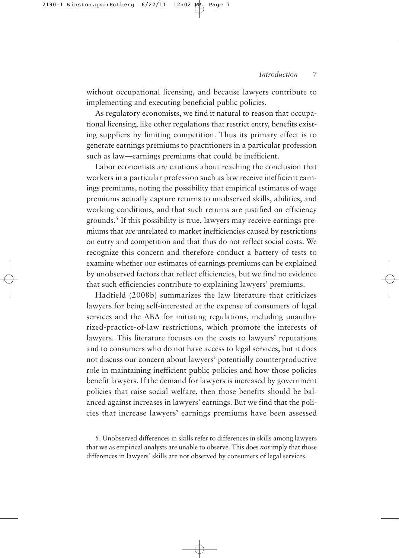without occupational licensing, and because lawyers contribute to implementing and executing beneficial public policies.

As regulatory economists, we find it natural to reason that occupational licensing, like other regulations that restrict entry, benefits existing suppliers by limiting competition. Thus its primary effect is to generate earnings premiums to practitioners in a particular profession such as law—earnings premiums that could be inefficient.

Labor economists are cautious about reaching the conclusion that workers in a particular profession such as law receive inefficient earnings premiums, noting the possibility that empirical estimates of wage premiums actually capture returns to unobserved skills, abilities, and working conditions, and that such returns are justified on efficiency grounds.<sup>5</sup> If this possibility is true, lawyers may receive earnings premiums that are unrelated to market inefficiencies caused by restrictions on entry and competition and that thus do not reflect social costs. We recognize this concern and therefore conduct a battery of tests to examine whether our estimates of earnings premiums can be explained by unobserved factors that reflect efficiencies, but we find no evidence that such efficiencies contribute to explaining lawyers' premiums.

Hadfield (2008b) summarizes the law literature that criticizes lawyers for being self-interested at the expense of consumers of legal services and the ABA for initiating regulations, including unauthorized-practice-of-law restrictions, which promote the interests of lawyers. This literature focuses on the costs to lawyers' reputations and to consumers who do not have access to legal services, but it does not discuss our concern about lawyers' potentially counterproductive role in maintaining inefficient public policies and how those policies benefit lawyers. If the demand for lawyers is increased by government policies that raise social welfare, then those benefits should be balanced against increases in lawyers' earnings. But we find that the policies that increase lawyers' earnings premiums have been assessed

5. Unobserved differences in skills refer to differences in skills among lawyers that we as empirical analysts are unable to observe. This does *not* imply that those differences in lawyers' skills are not observed by consumers of legal services.